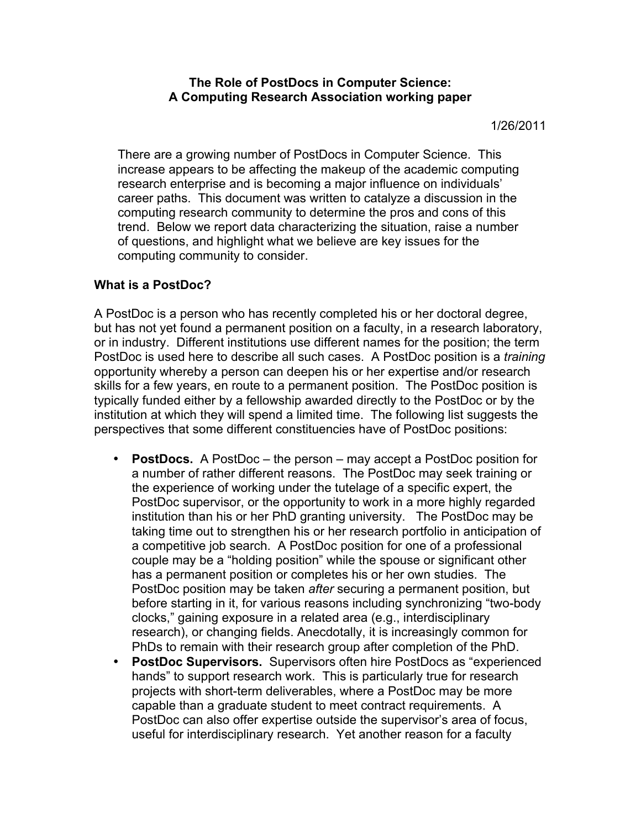**The Role of PostDocs in Computer Science: A Computing Research Association working paper**

1/26/2011

There are a growing number of PostDocs in Computer Science. This increase appears to be affecting the makeup of the academic computing research enterprise and is becoming a major influence on individuals' career paths. This document was written to catalyze a discussion in the computing research community to determine the pros and cons of this trend. Below we report data characterizing the situation, raise a number of questions, and highlight what we believe are key issues for the computing community to consider.

# **What is a PostDoc?**

A PostDoc is a person who has recently completed his or her doctoral degree, but has not yet found a permanent position on a faculty, in a research laboratory, or in industry. Different institutions use different names for the position; the term PostDoc is used here to describe all such cases. A PostDoc position is a *training* opportunity whereby a person can deepen his or her expertise and/or research skills for a few years, en route to a permanent position. The PostDoc position is typically funded either by a fellowship awarded directly to the PostDoc or by the institution at which they will spend a limited time. The following list suggests the perspectives that some different constituencies have of PostDoc positions:

- **PostDocs.** A PostDoc the person may accept a PostDoc position for a number of rather different reasons. The PostDoc may seek training or the experience of working under the tutelage of a specific expert, the PostDoc supervisor, or the opportunity to work in a more highly regarded institution than his or her PhD granting university. The PostDoc may be taking time out to strengthen his or her research portfolio in anticipation of a competitive job search. A PostDoc position for one of a professional couple may be a "holding position" while the spouse or significant other has a permanent position or completes his or her own studies. The PostDoc position may be taken *after* securing a permanent position, but before starting in it, for various reasons including synchronizing "two-body clocks," gaining exposure in a related area (e.g., interdisciplinary research), or changing fields. Anecdotally, it is increasingly common for PhDs to remain with their research group after completion of the PhD.
- **PostDoc Supervisors.** Supervisors often hire PostDocs as "experienced hands" to support research work. This is particularly true for research projects with short-term deliverables, where a PostDoc may be more capable than a graduate student to meet contract requirements. A PostDoc can also offer expertise outside the supervisor's area of focus, useful for interdisciplinary research. Yet another reason for a faculty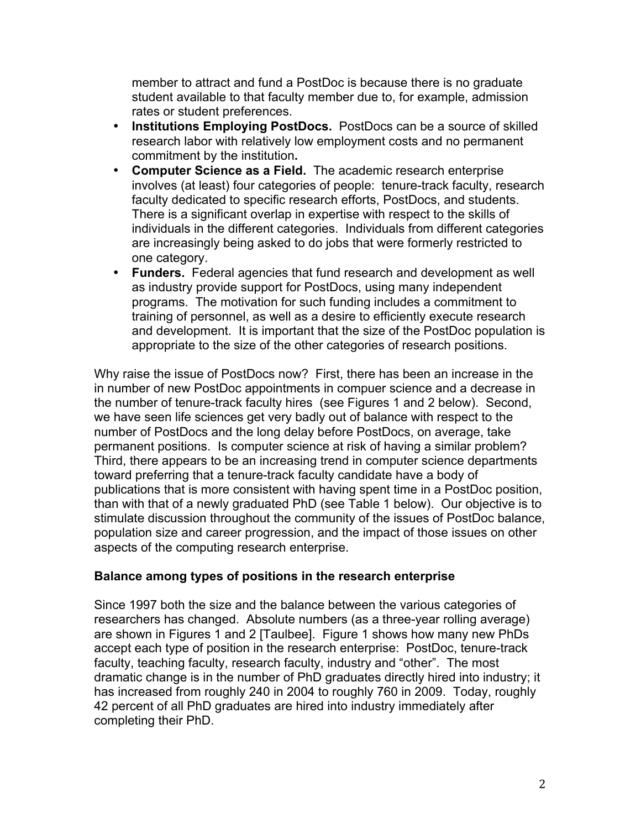member to attract and fund a PostDoc is because there is no graduate student available to that faculty member due to, for example, admission rates or student preferences.

- **Institutions Employing PostDocs.** PostDocs can be a source of skilled research labor with relatively low employment costs and no permanent commitment by the institution**.**
- **Computer Science as a Field.** The academic research enterprise involves (at least) four categories of people: tenure-track faculty, research faculty dedicated to specific research efforts, PostDocs, and students. There is a significant overlap in expertise with respect to the skills of individuals in the different categories. Individuals from different categories are increasingly being asked to do jobs that were formerly restricted to one category.
- **Funders.** Federal agencies that fund research and development as well as industry provide support for PostDocs, using many independent programs. The motivation for such funding includes a commitment to training of personnel, as well as a desire to efficiently execute research and development. It is important that the size of the PostDoc population is appropriate to the size of the other categories of research positions.

Why raise the issue of PostDocs now? First, there has been an increase in the in number of new PostDoc appointments in compuer science and a decrease in the number of tenure-track faculty hires (see Figures 1 and 2 below). Second, we have seen life sciences get very badly out of balance with respect to the number of PostDocs and the long delay before PostDocs, on average, take permanent positions. Is computer science at risk of having a similar problem? Third, there appears to be an increasing trend in computer science departments toward preferring that a tenure-track faculty candidate have a body of publications that is more consistent with having spent time in a PostDoc position, than with that of a newly graduated PhD (see Table 1 below). Our objective is to stimulate discussion throughout the community of the issues of PostDoc balance, population size and career progression, and the impact of those issues on other aspects of the computing research enterprise.

# **Balance among types of positions in the research enterprise**

Since 1997 both the size and the balance between the various categories of researchers has changed. Absolute numbers (as a three-year rolling average) are shown in Figures 1 and 2 [Taulbee]. Figure 1 shows how many new PhDs accept each type of position in the research enterprise: PostDoc, tenure-track faculty, teaching faculty, research faculty, industry and "other". The most dramatic change is in the number of PhD graduates directly hired into industry; it has increased from roughly 240 in 2004 to roughly 760 in 2009. Today, roughly 42 percent of all PhD graduates are hired into industry immediately after completing their PhD.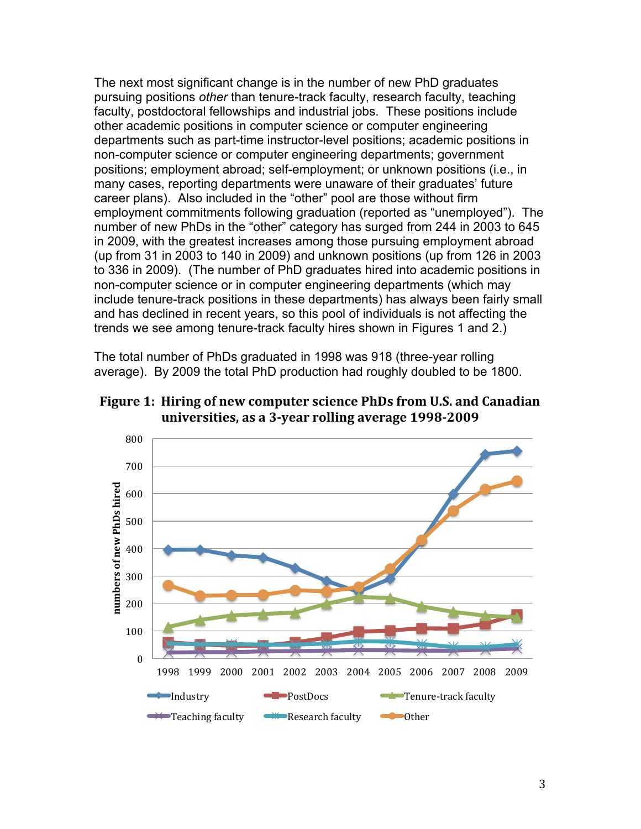The next most significant change is in the number of new PhD graduates pursuing positions other than tenure-track faculty, research faculty, teaching faculty, postdoctoral fellowships and industrial jobs. These positions include other academic positions in computer science or computer engineering departments such as part-time instructor-level positions; academic positions in non-computer science or computer engineering departments; government positions; employment abroad; self-employment; or unknown positions (i.e., in many cases, reporting departments were unaware of their graduates' future career plans). Also included in the "other" pool are those without firm employment commitments following graduation (reported as "unemployed"). The number of new PhDs in the "other" category has surged from 244 in 2003 to 645 in 2009, with the greatest increases among those pursuing employment abroad (up from 31 in 2003 to 140 in 2009) and unknown positions (up from 126 in 2003 to 336 in 2009). (The number of PhD graduates hired into academic positions in non-computer science or in computer engineering departments (which may include tenure-track positions in these departments) has always been fairly small and has declined in recent years, so this pool of individuals is not affecting the trends we see among tenure-track faculty hires shown in Figures 1 and 2.)

The total number of PhDs graduated in 1998 was 918 (three-year rolling average). By 2009 the total PhD production had roughly doubled to be 1800.



Figure 1: Hiring of new computer science PhDs from U.S. and Canadian universities, as a 3-year rolling average 1998-2009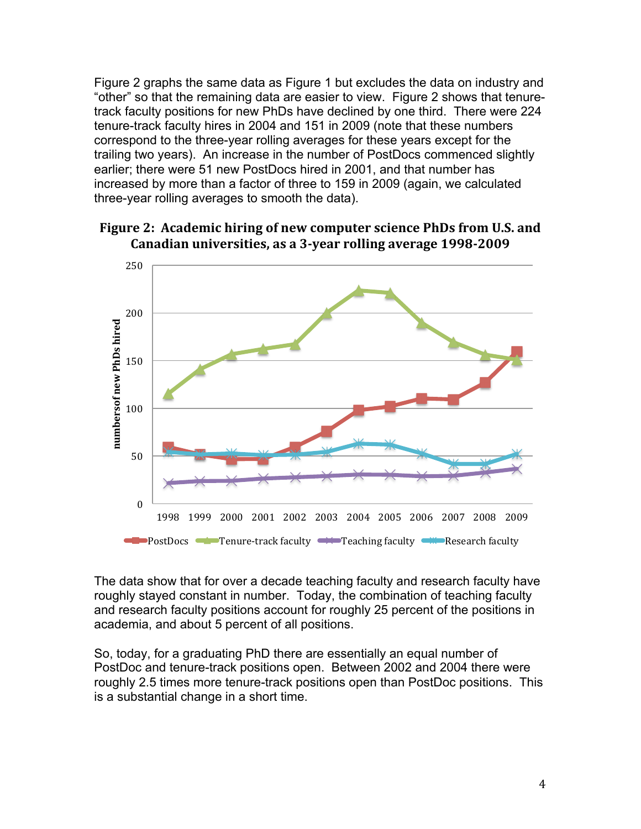Figure 2 graphs the same data as Figure 1 but excludes the data on industry and "other" so that the remaining data are easier to view. Figure 2 shows that tenuretrack faculty positions for new PhDs have declined by one third. There were 224 tenure-track faculty hires in 2004 and 151 in 2009 (note that these numbers correspond to the three-year rolling averages for these years except for the trailing two years). An increase in the number of PostDocs commenced slightly earlier; there were 51 new PostDocs hired in 2001, and that number has increased by more than a factor of three to 159 in 2009 (again, we calculated three-year rolling averages to smooth the data).



Figure 2: Academic hiring of new computer science PhDs from U.S. and Canadian universities, as a 3-year rolling average 1998-2009

The data show that for over a decade teaching faculty and research faculty have roughly stayed constant in number. Today, the combination of teaching faculty and research faculty positions account for roughly 25 percent of the positions in academia, and about 5 percent of all positions.

So, today, for a graduating PhD there are essentially an equal number of PostDoc and tenure-track positions open. Between 2002 and 2004 there were roughly 2.5 times more tenure-track positions open than PostDoc positions. This is a substantial change in a short time.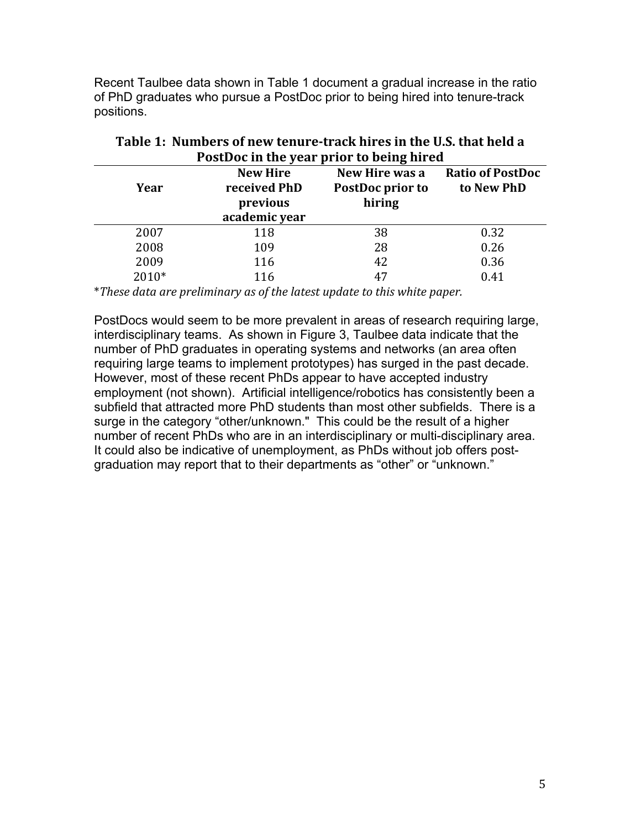Recent Taulbee data shown in Table 1 document a gradual increase in the ratio of PhD graduates who pursue a PostDoc prior to being hired into tenure-track positions.

| POSTDOC in the year prior to being hired<br><b>New Hire</b><br>New Hire was a<br><b>Ratio of PostDoc</b> |                                           |                            |            |
|----------------------------------------------------------------------------------------------------------|-------------------------------------------|----------------------------|------------|
| Year                                                                                                     | received PhD<br>previous<br>academic year | PostDoc prior to<br>hiring | to New PhD |
| 2007                                                                                                     | 118                                       | 38                         | 0.32       |
| 2008                                                                                                     | 109                                       | 28                         | 0.26       |
| 2009                                                                                                     | 116                                       | 42                         | 0.36       |
| 2010*                                                                                                    | 116                                       | 47                         | 0.41       |

| Table 1: Numbers of new tenure-track hires in the U.S. that held a |  |  |
|--------------------------------------------------------------------|--|--|
| PostDoc in the year prior to being hired                           |  |  |

\*These data are preliminary as of the latest update to this white paper.

PostDocs would seem to be more prevalent in areas of research requiring large, interdisciplinary teams. As shown in Figure 3, Taulbee data indicate that the number of PhD graduates in operating systems and networks (an area often requiring large teams to implement prototypes) has surged in the past decade. However, most of these recent PhDs appear to have accepted industry employment (not shown). Artificial intelligence/robotics has consistently been a subfield that attracted more PhD students than most other subfields. There is a surge in the category "other/unknown." This could be the result of a higher number of recent PhDs who are in an interdisciplinary or multi-disciplinary area. It could also be indicative of unemployment, as PhDs without job offers postgraduation may report that to their departments as "other" or "unknown."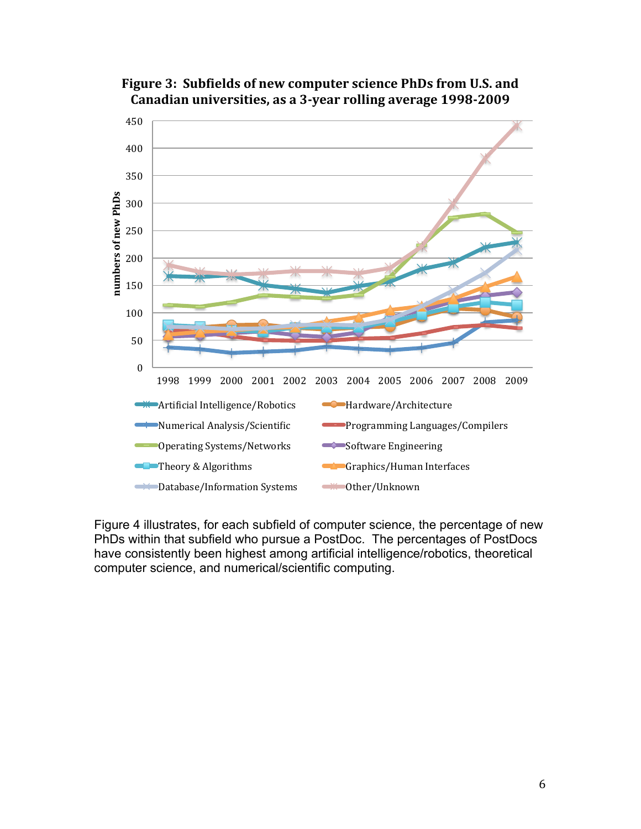



Figure 4 illustrates, for each subfield of computer science, the percentage of new PhDs within that subfield who pursue a PostDoc. The percentages of PostDocs have consistently been highest among artificial intelligence/robotics, theoretical computer science, and numerical/scientific computing.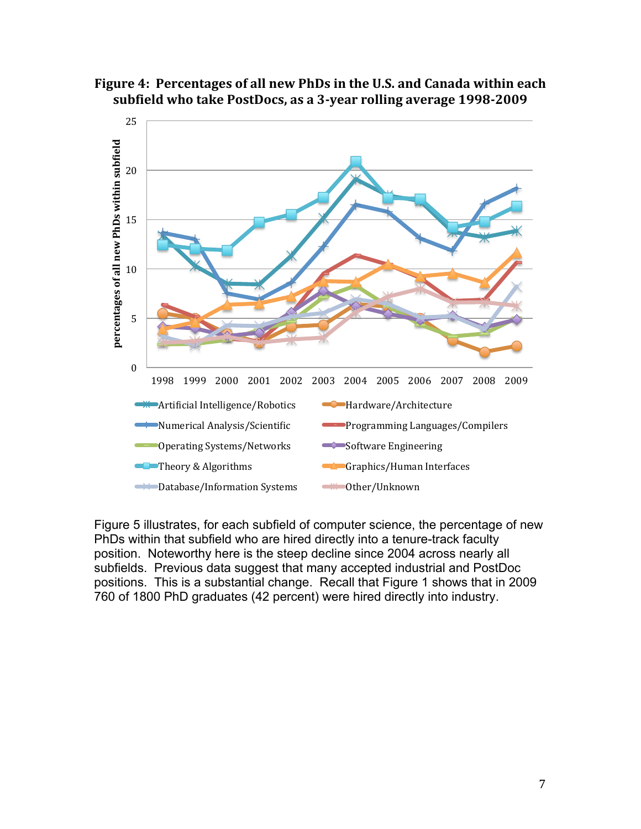



Figure 5 illustrates, for each subfield of computer science, the percentage of new PhDs within that subfield who are hired directly into a tenure-track faculty position. Noteworthy here is the steep decline since 2004 across nearly all subfields. Previous data suggest that many accepted industrial and PostDoc positions. This is a substantial change. Recall that Figure 1 shows that in 2009 760 of 1800 PhD graduates (42 percent) were hired directly into industry.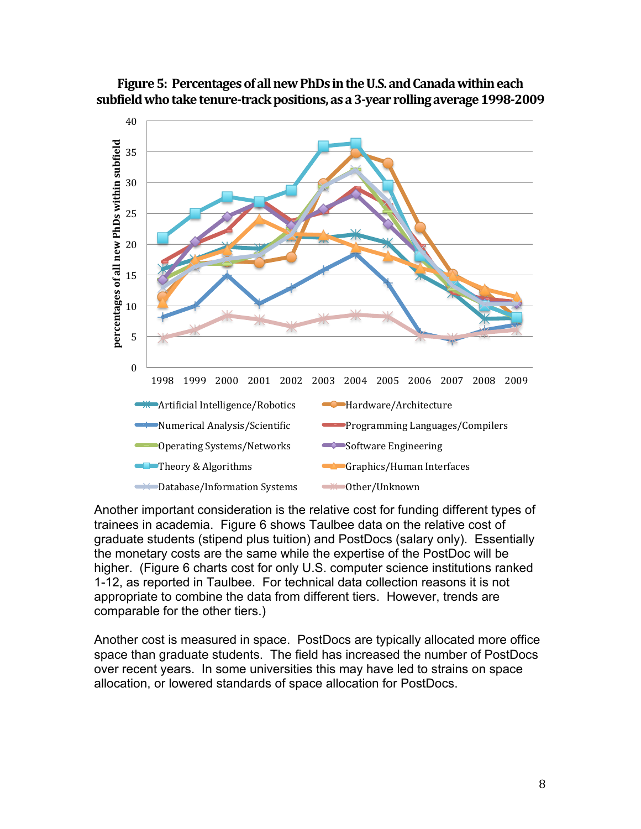



Another important consideration is the relative cost for funding different types of trainees in academia. Figure 6 shows Taulbee data on the relative cost of graduate students (stipend plus tuition) and PostDocs (salary only). Essentially the monetary costs are the same while the expertise of the PostDoc will be higher. (Figure 6 charts cost for only U.S. computer science institutions ranked 1-12, as reported in Taulbee. For technical data collection reasons it is not appropriate to combine the data from different tiers. However, trends are comparable for the other tiers.)

Another cost is measured in space. PostDocs are typically allocated more office space than graduate students. The field has increased the number of PostDocs over recent years. In some universities this may have led to strains on space allocation, or lowered standards of space allocation for PostDocs.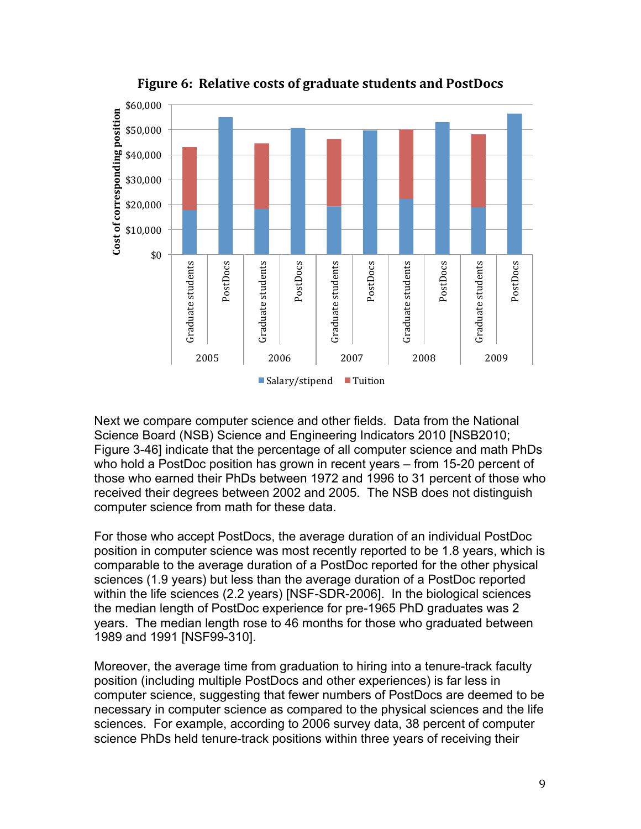

Figure 6: Relative costs of graduate students and PostDocs

Next we compare computer science and other fields. Data from the National Science Board (NSB) Science and Engineering Indicators 2010 [NSB2010; Figure 3-46] indicate that the percentage of all computer science and math PhDs who hold a PostDoc position has grown in recent years – from 15-20 percent of those who earned their PhDs between 1972 and 1996 to 31 percent of those who received their degrees between 2002 and 2005. The NSB does not distinguish computer science from math for these data.

For those who accept PostDocs, the average duration of an individual PostDoc position in computer science was most recently reported to be 1.8 years, which is comparable to the average duration of a PostDoc reported for the other physical sciences (1.9 years) but less than the average duration of a PostDoc reported within the life sciences (2.2 years) [NSF-SDR-2006]. In the biological sciences the median length of PostDoc experience for pre-1965 PhD graduates was 2 years. The median length rose to 46 months for those who graduated between 1989 and 1991 [NSF99-310].

Moreover, the average time from graduation to hiring into a tenure-track faculty position (including multiple PostDocs and other experiences) is far less in computer science, suggesting that fewer numbers of PostDocs are deemed to be necessary in computer science as compared to the physical sciences and the life sciences. For example, according to 2006 survey data, 38 percent of computer science PhDs held tenure-track positions within three years of receiving their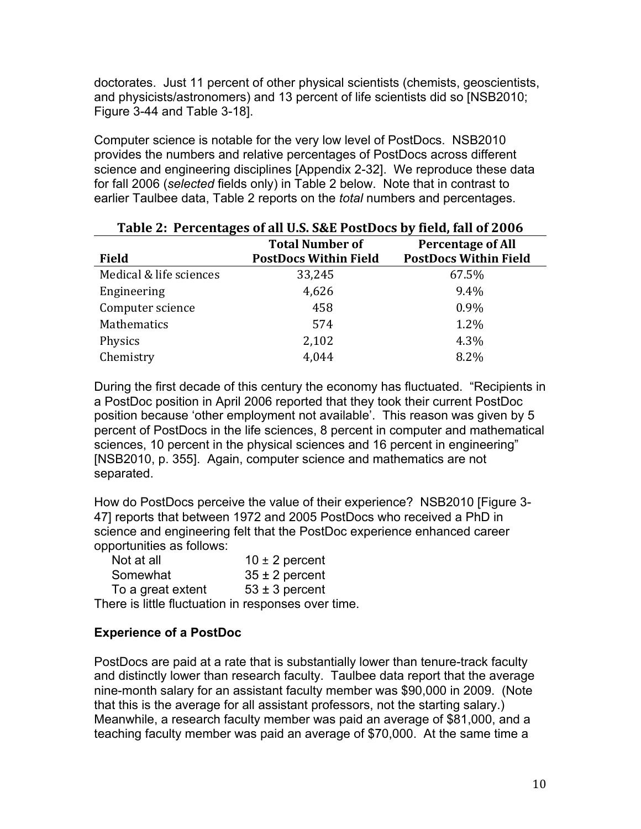doctorates. Just 11 percent of other physical scientists (chemists, geoscientists, and physicists/astronomers) and 13 percent of life scientists did so [NSB2010; Figure 3-44 and Table 3-18].

Computer science is notable for the very low level of PostDocs. NSB2010 provides the numbers and relative percentages of PostDocs across different science and engineering disciplines [Appendix 2-32]. We reproduce these data for fall 2006 (*selected* fields only) in Table 2 below. Note that in contrast to earlier Taulbee data, Table 2 reports on the *total* numbers and percentages.

| Table 2: Percentages of all U.S. S&E PostDocs by field, fall of 2006 |                              |                              |  |  |
|----------------------------------------------------------------------|------------------------------|------------------------------|--|--|
|                                                                      | <b>Total Number of</b>       | <b>Percentage of All</b>     |  |  |
| <b>Field</b>                                                         | <b>PostDocs Within Field</b> | <b>PostDocs Within Field</b> |  |  |
| Medical & life sciences                                              | 33,245                       | 67.5%                        |  |  |
| Engineering                                                          | 4,626                        | 9.4%                         |  |  |
| Computer science                                                     | 458                          | 0.9%                         |  |  |
| Mathematics                                                          | 574                          | 1.2%                         |  |  |
| Physics                                                              | 2,102                        | 4.3%                         |  |  |
| Chemistry                                                            | 4,044                        | 8.2%                         |  |  |

During the first decade of this century the economy has fluctuated. "Recipients in a PostDoc position in April 2006 reported that they took their current PostDoc position because 'other employment not available'. This reason was given by 5 percent of PostDocs in the life sciences, 8 percent in computer and mathematical sciences, 10 percent in the physical sciences and 16 percent in engineering" [NSB2010, p. 355]. Again, computer science and mathematics are not separated.

How do PostDocs perceive the value of their experience? NSB2010 [Figure 3- 47] reports that between 1972 and 2005 PostDocs who received a PhD in science and engineering felt that the PostDoc experience enhanced career opportunities as follows:

| Not at all                                          | $10 \pm 2$ percent |
|-----------------------------------------------------|--------------------|
| Somewhat                                            | $35 \pm 2$ percent |
| To a great extent                                   | $53 \pm 3$ percent |
| There is little fluctuation in responses over time. |                    |

# **Experience of a PostDoc**

PostDocs are paid at a rate that is substantially lower than tenure-track faculty and distinctly lower than research faculty. Taulbee data report that the average nine-month salary for an assistant faculty member was \$90,000 in 2009. (Note that this is the average for all assistant professors, not the starting salary.) Meanwhile, a research faculty member was paid an average of \$81,000, and a teaching faculty member was paid an average of \$70,000. At the same time a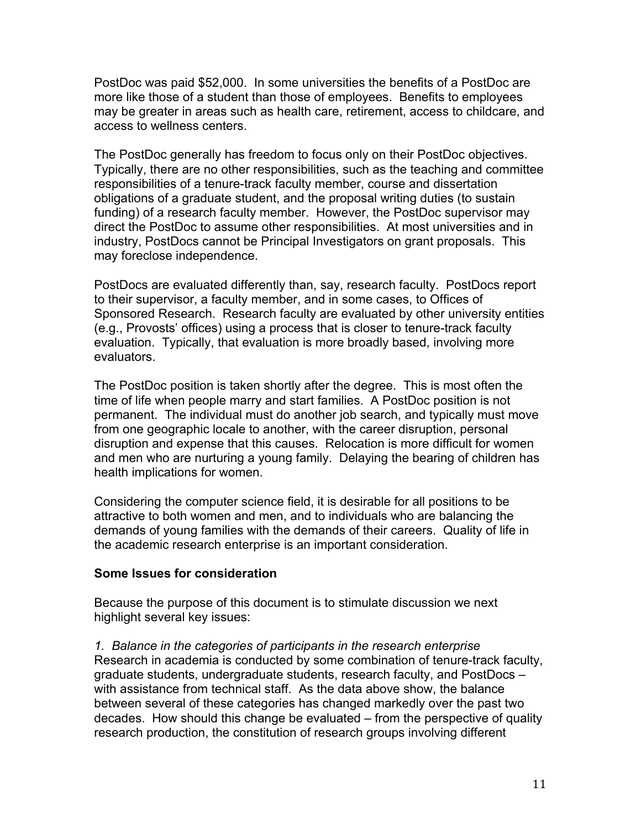PostDoc was paid \$52,000. In some universities the benefits of a PostDoc are more like those of a student than those of employees. Benefits to employees may be greater in areas such as health care, retirement, access to childcare, and access to wellness centers.

The PostDoc generally has freedom to focus only on their PostDoc objectives. Typically, there are no other responsibilities, such as the teaching and committee responsibilities of a tenure-track faculty member, course and dissertation obligations of a graduate student, and the proposal writing duties (to sustain funding) of a research faculty member. However, the PostDoc supervisor may direct the PostDoc to assume other responsibilities. At most universities and in industry, PostDocs cannot be Principal Investigators on grant proposals. This may foreclose independence.

PostDocs are evaluated differently than, say, research faculty. PostDocs report to their supervisor, a faculty member, and in some cases, to Offices of Sponsored Research. Research faculty are evaluated by other university entities (e.g., Provosts' offices) using a process that is closer to tenure-track faculty evaluation. Typically, that evaluation is more broadly based, involving more evaluators.

The PostDoc position is taken shortly after the degree. This is most often the time of life when people marry and start families. A PostDoc position is not permanent. The individual must do another job search, and typically must move from one geographic locale to another, with the career disruption, personal disruption and expense that this causes. Relocation is more difficult for women and men who are nurturing a young family. Delaying the bearing of children has health implications for women.

Considering the computer science field, it is desirable for all positions to be attractive to both women and men, and to individuals who are balancing the demands of young families with the demands of their careers. Quality of life in the academic research enterprise is an important consideration.

# **Some Issues for consideration**

Because the purpose of this document is to stimulate discussion we next highlight several key issues:

*1. Balance in the categories of participants in the research enterprise* Research in academia is conducted by some combination of tenure-track faculty, graduate students, undergraduate students, research faculty, and PostDocs – with assistance from technical staff. As the data above show, the balance between several of these categories has changed markedly over the past two decades. How should this change be evaluated – from the perspective of quality research production, the constitution of research groups involving different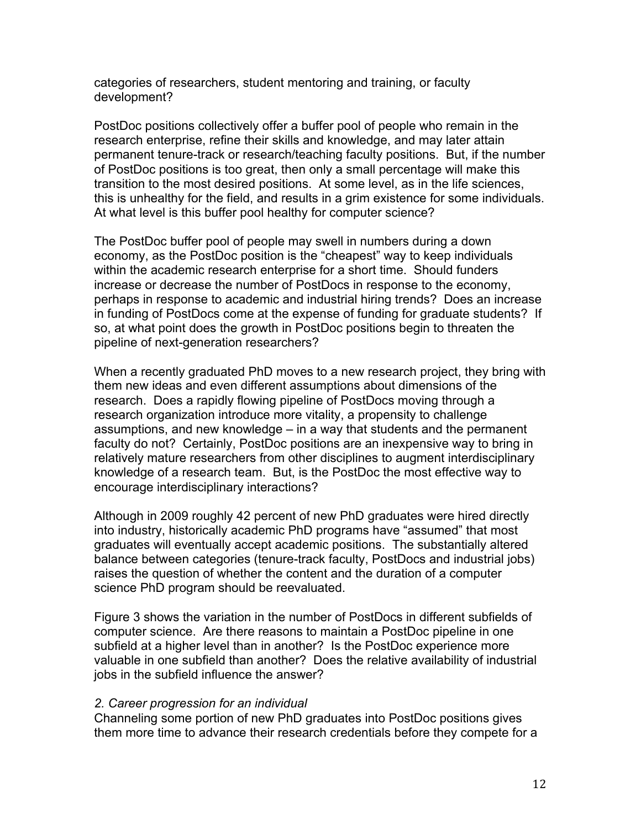categories of researchers, student mentoring and training, or faculty development?

PostDoc positions collectively offer a buffer pool of people who remain in the research enterprise, refine their skills and knowledge, and may later attain permanent tenure-track or research/teaching faculty positions. But, if the number of PostDoc positions is too great, then only a small percentage will make this transition to the most desired positions. At some level, as in the life sciences, this is unhealthy for the field, and results in a grim existence for some individuals. At what level is this buffer pool healthy for computer science?

The PostDoc buffer pool of people may swell in numbers during a down economy, as the PostDoc position is the "cheapest" way to keep individuals within the academic research enterprise for a short time. Should funders increase or decrease the number of PostDocs in response to the economy, perhaps in response to academic and industrial hiring trends? Does an increase in funding of PostDocs come at the expense of funding for graduate students? If so, at what point does the growth in PostDoc positions begin to threaten the pipeline of next-generation researchers?

When a recently graduated PhD moves to a new research project, they bring with them new ideas and even different assumptions about dimensions of the research. Does a rapidly flowing pipeline of PostDocs moving through a research organization introduce more vitality, a propensity to challenge assumptions, and new knowledge – in a way that students and the permanent faculty do not? Certainly, PostDoc positions are an inexpensive way to bring in relatively mature researchers from other disciplines to augment interdisciplinary knowledge of a research team. But, is the PostDoc the most effective way to encourage interdisciplinary interactions?

Although in 2009 roughly 42 percent of new PhD graduates were hired directly into industry, historically academic PhD programs have "assumed" that most graduates will eventually accept academic positions. The substantially altered balance between categories (tenure-track faculty, PostDocs and industrial jobs) raises the question of whether the content and the duration of a computer science PhD program should be reevaluated.

Figure 3 shows the variation in the number of PostDocs in different subfields of computer science. Are there reasons to maintain a PostDoc pipeline in one subfield at a higher level than in another? Is the PostDoc experience more valuable in one subfield than another? Does the relative availability of industrial jobs in the subfield influence the answer?

# *2. Career progression for an individual*

Channeling some portion of new PhD graduates into PostDoc positions gives them more time to advance their research credentials before they compete for a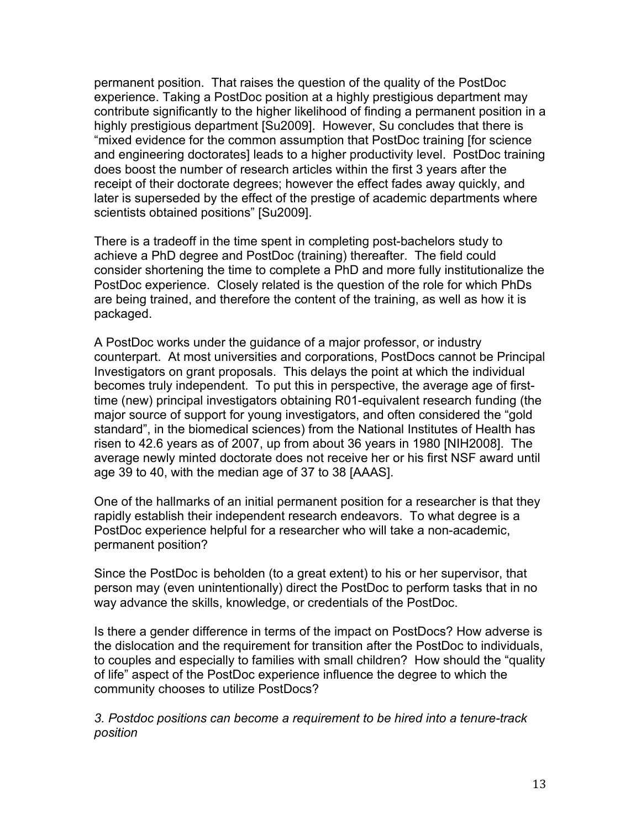permanent position. That raises the question of the quality of the PostDoc experience. Taking a PostDoc position at a highly prestigious department may contribute significantly to the higher likelihood of finding a permanent position in a highly prestigious department [Su2009]. However, Su concludes that there is "mixed evidence for the common assumption that PostDoc training [for science and engineering doctorates] leads to a higher productivity level. PostDoc training does boost the number of research articles within the first 3 years after the receipt of their doctorate degrees; however the effect fades away quickly, and later is superseded by the effect of the prestige of academic departments where scientists obtained positions" [Su2009].

There is a tradeoff in the time spent in completing post-bachelors study to achieve a PhD degree and PostDoc (training) thereafter. The field could consider shortening the time to complete a PhD and more fully institutionalize the PostDoc experience. Closely related is the question of the role for which PhDs are being trained, and therefore the content of the training, as well as how it is packaged.

A PostDoc works under the guidance of a major professor, or industry counterpart. At most universities and corporations, PostDocs cannot be Principal Investigators on grant proposals. This delays the point at which the individual becomes truly independent. To put this in perspective, the average age of firsttime (new) principal investigators obtaining R01-equivalent research funding (the major source of support for young investigators, and often considered the "gold standard", in the biomedical sciences) from the National Institutes of Health has risen to 42.6 years as of 2007, up from about 36 years in 1980 [NIH2008]. The average newly minted doctorate does not receive her or his first NSF award until age 39 to 40, with the median age of 37 to 38 [AAAS].

One of the hallmarks of an initial permanent position for a researcher is that they rapidly establish their independent research endeavors. To what degree is a PostDoc experience helpful for a researcher who will take a non-academic, permanent position?

Since the PostDoc is beholden (to a great extent) to his or her supervisor, that person may (even unintentionally) direct the PostDoc to perform tasks that in no way advance the skills, knowledge, or credentials of the PostDoc.

Is there a gender difference in terms of the impact on PostDocs? How adverse is the dislocation and the requirement for transition after the PostDoc to individuals, to couples and especially to families with small children? How should the "quality of life" aspect of the PostDoc experience influence the degree to which the community chooses to utilize PostDocs?

*3. Postdoc positions can become a requirement to be hired into a tenure-track position*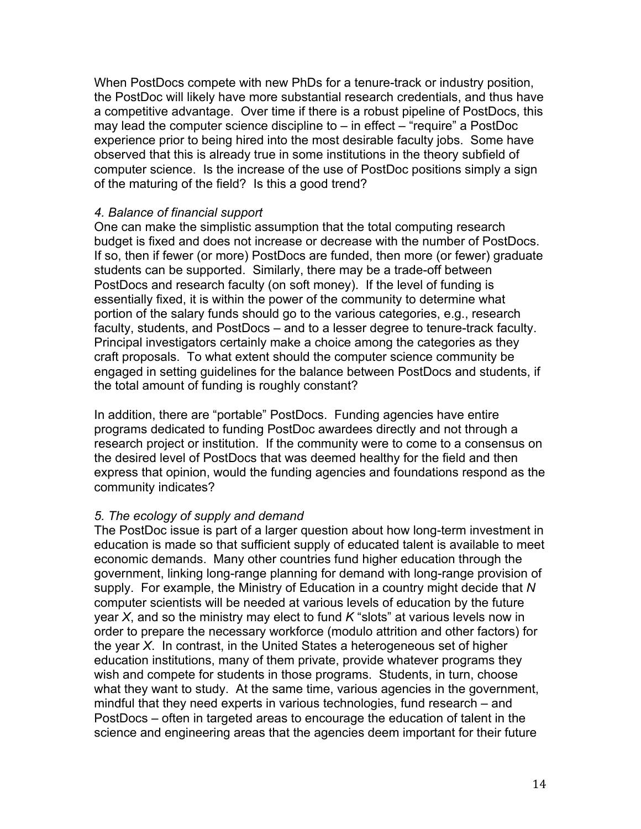When PostDocs compete with new PhDs for a tenure-track or industry position, the PostDoc will likely have more substantial research credentials, and thus have a competitive advantage. Over time if there is a robust pipeline of PostDocs, this may lead the computer science discipline to – in effect – "require" a PostDoc experience prior to being hired into the most desirable faculty jobs. Some have observed that this is already true in some institutions in the theory subfield of computer science. Is the increase of the use of PostDoc positions simply a sign of the maturing of the field? Is this a good trend?

# *4. Balance of financial support*

One can make the simplistic assumption that the total computing research budget is fixed and does not increase or decrease with the number of PostDocs. If so, then if fewer (or more) PostDocs are funded, then more (or fewer) graduate students can be supported. Similarly, there may be a trade-off between PostDocs and research faculty (on soft money). If the level of funding is essentially fixed, it is within the power of the community to determine what portion of the salary funds should go to the various categories, e.g., research faculty, students, and PostDocs – and to a lesser degree to tenure-track faculty. Principal investigators certainly make a choice among the categories as they craft proposals. To what extent should the computer science community be engaged in setting guidelines for the balance between PostDocs and students, if the total amount of funding is roughly constant?

In addition, there are "portable" PostDocs. Funding agencies have entire programs dedicated to funding PostDoc awardees directly and not through a research project or institution. If the community were to come to a consensus on the desired level of PostDocs that was deemed healthy for the field and then express that opinion, would the funding agencies and foundations respond as the community indicates?

# *5. The ecology of supply and demand*

The PostDoc issue is part of a larger question about how long-term investment in education is made so that sufficient supply of educated talent is available to meet economic demands. Many other countries fund higher education through the government, linking long-range planning for demand with long-range provision of supply. For example, the Ministry of Education in a country might decide that *N* computer scientists will be needed at various levels of education by the future year *X*, and so the ministry may elect to fund *K* "slots" at various levels now in order to prepare the necessary workforce (modulo attrition and other factors) for the year *X*. In contrast, in the United States a heterogeneous set of higher education institutions, many of them private, provide whatever programs they wish and compete for students in those programs. Students, in turn, choose what they want to study. At the same time, various agencies in the government, mindful that they need experts in various technologies, fund research – and PostDocs – often in targeted areas to encourage the education of talent in the science and engineering areas that the agencies deem important for their future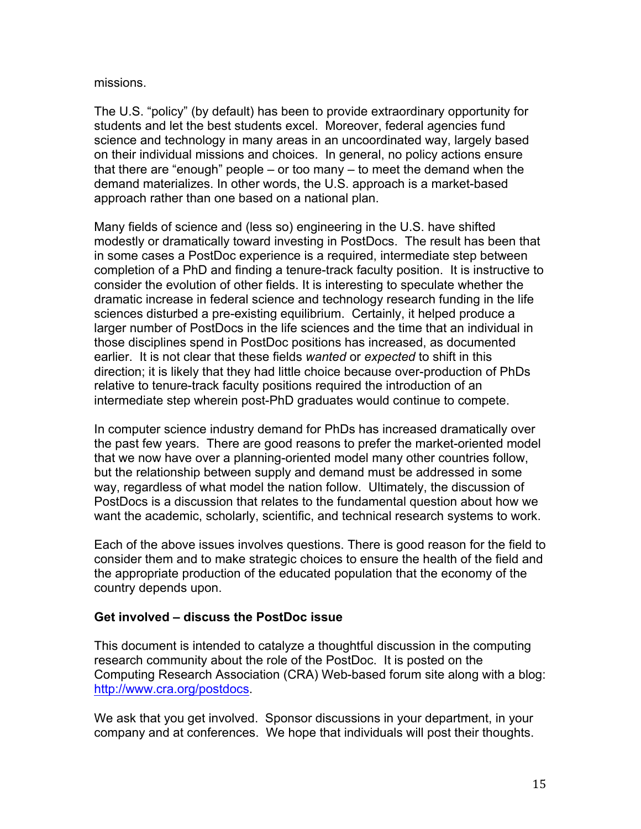missions.

The U.S. "policy" (by default) has been to provide extraordinary opportunity for students and let the best students excel. Moreover, federal agencies fund science and technology in many areas in an uncoordinated way, largely based on their individual missions and choices. In general, no policy actions ensure that there are "enough" people – or too many – to meet the demand when the demand materializes. In other words, the U.S. approach is a market-based approach rather than one based on a national plan.

Many fields of science and (less so) engineering in the U.S. have shifted modestly or dramatically toward investing in PostDocs. The result has been that in some cases a PostDoc experience is a required, intermediate step between completion of a PhD and finding a tenure-track faculty position. It is instructive to consider the evolution of other fields. It is interesting to speculate whether the dramatic increase in federal science and technology research funding in the life sciences disturbed a pre-existing equilibrium. Certainly, it helped produce a larger number of PostDocs in the life sciences and the time that an individual in those disciplines spend in PostDoc positions has increased, as documented earlier. It is not clear that these fields *wanted* or *expected* to shift in this direction; it is likely that they had little choice because over-production of PhDs relative to tenure-track faculty positions required the introduction of an intermediate step wherein post-PhD graduates would continue to compete.

In computer science industry demand for PhDs has increased dramatically over the past few years. There are good reasons to prefer the market-oriented model that we now have over a planning-oriented model many other countries follow, but the relationship between supply and demand must be addressed in some way, regardless of what model the nation follow. Ultimately, the discussion of PostDocs is a discussion that relates to the fundamental question about how we want the academic, scholarly, scientific, and technical research systems to work.

Each of the above issues involves questions. There is good reason for the field to consider them and to make strategic choices to ensure the health of the field and the appropriate production of the educated population that the economy of the country depends upon.

# **Get involved – discuss the PostDoc issue**

This document is intended to catalyze a thoughtful discussion in the computing research community about the role of the PostDoc. It is posted on the Computing Research Association (CRA) Web-based forum site along with a blog: http://www.cra.org/postdocs.

We ask that you get involved. Sponsor discussions in your department, in your company and at conferences. We hope that individuals will post their thoughts.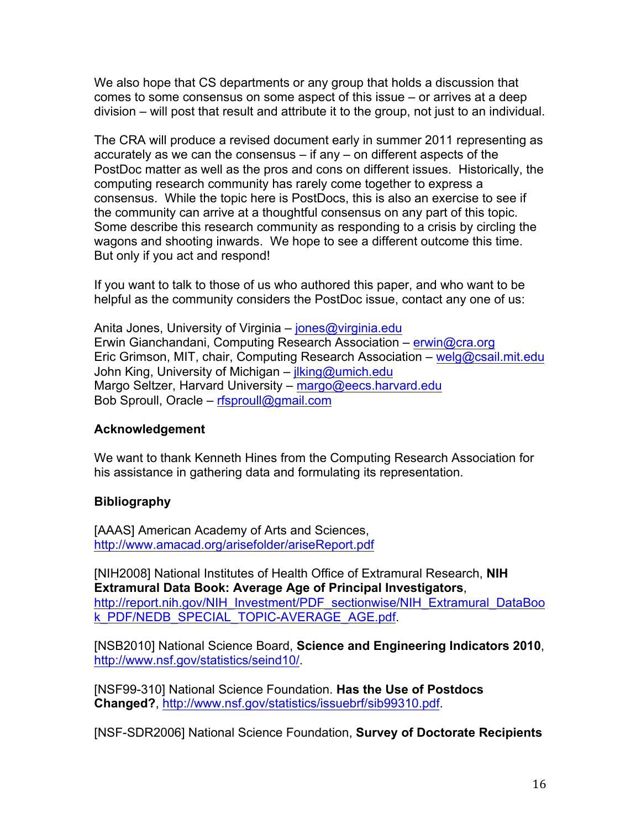We also hope that CS departments or any group that holds a discussion that comes to some consensus on some aspect of this issue – or arrives at a deep division – will post that result and attribute it to the group, not just to an individual.

The CRA will produce a revised document early in summer 2011 representing as accurately as we can the consensus – if any – on different aspects of the PostDoc matter as well as the pros and cons on different issues. Historically, the computing research community has rarely come together to express a consensus. While the topic here is PostDocs, this is also an exercise to see if the community can arrive at a thoughtful consensus on any part of this topic. Some describe this research community as responding to a crisis by circling the wagons and shooting inwards. We hope to see a different outcome this time. But only if you act and respond!

If you want to talk to those of us who authored this paper, and who want to be helpful as the community considers the PostDoc issue, contact any one of us:

Anita Jones, University of Virginia – jones@virginia.edu Erwin Gianchandani, Computing Research Association – erwin@cra.org Eric Grimson, MIT, chair, Computing Research Association – welg@csail.mit.edu John King, University of Michigan – jlking@umich.edu Margo Seltzer, Harvard University – margo@eecs.harvard.edu Bob Sproull, Oracle – rfsproull@gmail.com

# **Acknowledgement**

We want to thank Kenneth Hines from the Computing Research Association for his assistance in gathering data and formulating its representation.

# **Bibliography**

[AAAS] American Academy of Arts and Sciences, http://www.amacad.org/arisefolder/ariseReport.pdf

[NIH2008] National Institutes of Health Office of Extramural Research, **NIH Extramural Data Book: Average Age of Principal Investigators**, http://report.nih.gov/NIH\_Investment/PDF\_sectionwise/NIH\_Extramural\_DataBoo k\_PDF/NEDB\_SPECIAL\_TOPIC-AVERAGE\_AGE.pdf.

[NSB2010] National Science Board, **Science and Engineering Indicators 2010**, http://www.nsf.gov/statistics/seind10/.

[NSF99-310] National Science Foundation. **Has the Use of Postdocs Changed?**, http://www.nsf.gov/statistics/issuebrf/sib99310.pdf.

[NSF-SDR2006] National Science Foundation, **Survey of Doctorate Recipients**